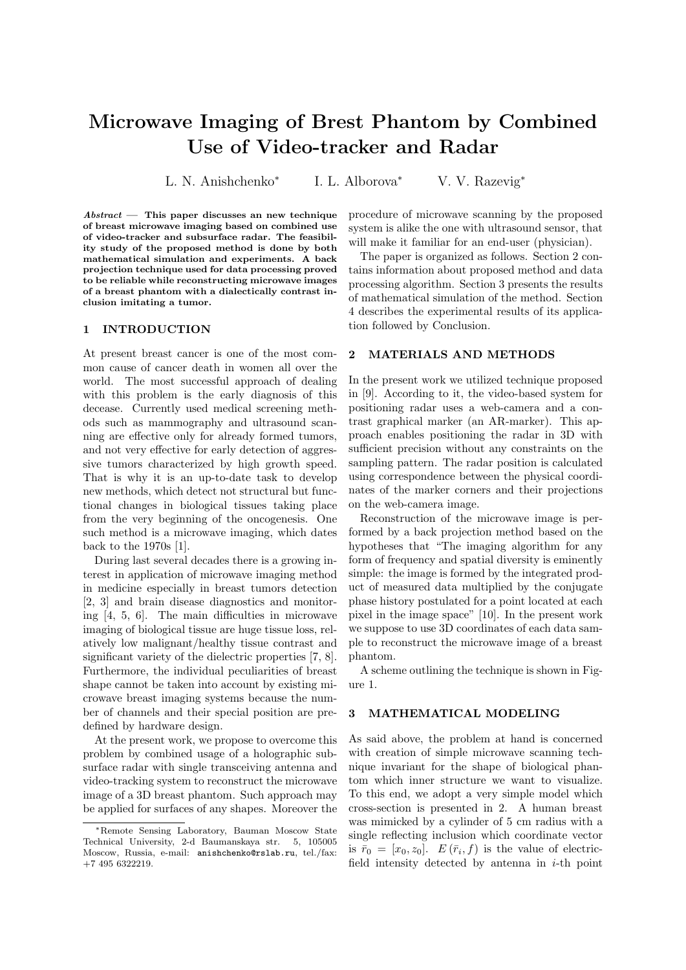# Microwave Imaging of Brest Phantom by Combined Use of Video-tracker and Radar

L. N. Anishchenko<sup>∗</sup> I. L. Alborova<sup>∗</sup> V. V. Razevig<sup>∗</sup>

 $Abstract$  — This paper discusses an new technique of breast microwave imaging based on combined use of video-tracker and subsurface radar. The feasibility study of the proposed method is done by both mathematical simulation and experiments. A back projection technique used for data processing proved to be reliable while reconstructing microwave images of a breast phantom with a dialectically contrast inclusion imitating a tumor.

#### 1 INTRODUCTION

At present breast cancer is one of the most common cause of cancer death in women all over the world. The most successful approach of dealing with this problem is the early diagnosis of this decease. Currently used medical screening methods such as mammography and ultrasound scanning are effective only for already formed tumors, and not very effective for early detection of aggressive tumors characterized by high growth speed. That is why it is an up-to-date task to develop new methods, which detect not structural but functional changes in biological tissues taking place from the very beginning of the oncogenesis. One such method is a microwave imaging, which dates back to the 1970s [1].

During last several decades there is a growing interest in application of microwave imaging method in medicine especially in breast tumors detection [2, 3] and brain disease diagnostics and monitoring [4, 5, 6]. The main difficulties in microwave imaging of biological tissue are huge tissue loss, relatively low malignant/healthy tissue contrast and significant variety of the dielectric properties [7, 8]. Furthermore, the individual peculiarities of breast shape cannot be taken into account by existing microwave breast imaging systems because the number of channels and their special position are predefined by hardware design.

At the present work, we propose to overcome this problem by combined usage of a holographic subsurface radar with single transceiving antenna and video-tracking system to reconstruct the microwave image of a 3D breast phantom. Such approach may be applied for surfaces of any shapes. Moreover the

procedure of microwave scanning by the proposed system is alike the one with ultrasound sensor, that will make it familiar for an end-user (physician).

The paper is organized as follows. Section 2 contains information about proposed method and data processing algorithm. Section 3 presents the results of mathematical simulation of the method. Section 4 describes the experimental results of its application followed by Conclusion.

#### 2 MATERIALS AND METHODS

In the present work we utilized technique proposed in [9]. According to it, the video-based system for positioning radar uses a web-camera and a contrast graphical marker (an AR-marker). This approach enables positioning the radar in 3D with sufficient precision without any constraints on the sampling pattern. The radar position is calculated using correspondence between the physical coordinates of the marker corners and their projections on the web-camera image.

Reconstruction of the microwave image is performed by a back projection method based on the hypotheses that "The imaging algorithm for any form of frequency and spatial diversity is eminently simple: the image is formed by the integrated product of measured data multiplied by the conjugate phase history postulated for a point located at each pixel in the image space" [10]. In the present work we suppose to use 3D coordinates of each data sample to reconstruct the microwave image of a breast phantom.

A scheme outlining the technique is shown in Figure 1.

#### 3 MATHEMATICAL MODELING

As said above, the problem at hand is concerned with creation of simple microwave scanning technique invariant for the shape of biological phantom which inner structure we want to visualize. To this end, we adopt a very simple model which cross-section is presented in 2. A human breast was mimicked by a cylinder of 5 cm radius with a single reflecting inclusion which coordinate vector is  $\bar{r}_0 = [x_0, z_0]$ .  $E(\bar{r}_i, f)$  is the value of electricfield intensity detected by antenna in  $i$ -th point

<sup>∗</sup>Remote Sensing Laboratory, Bauman Moscow State Technical University, 2-d Baumanskaya str. 5, 105005 Moscow, Russia, e-mail: anishchenko@rslab.ru, tel./fax: +7 495 6322219.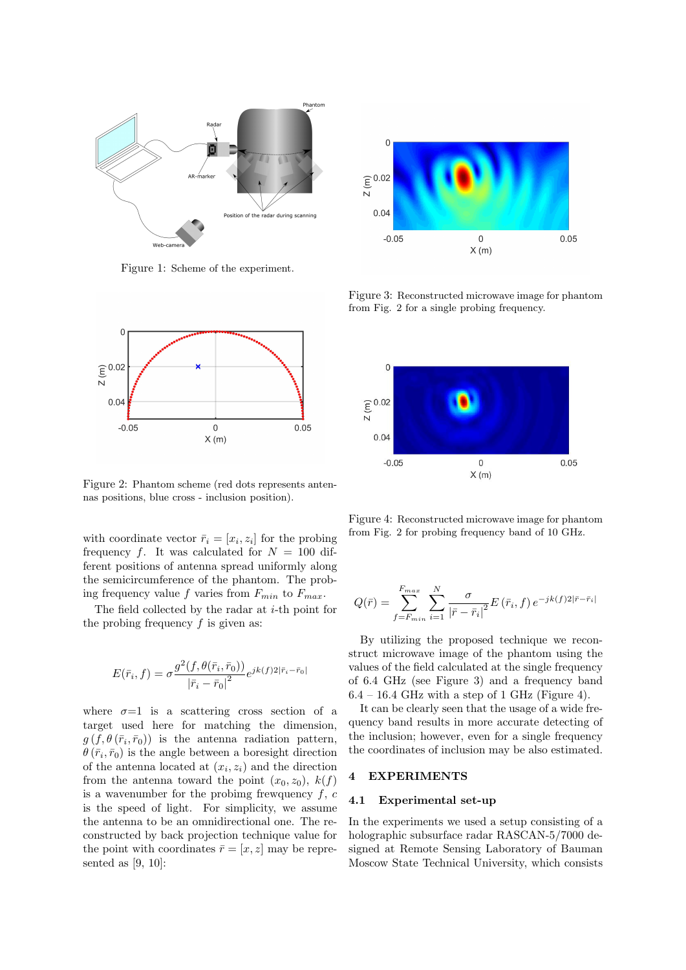

Figure 1: Scheme of the experiment.



Figure 2: Phantom scheme (red dots represents antennas positions, blue cross - inclusion position).

with coordinate vector  $\bar{r}_i = [x_i, z_i]$  for the probing frequency f. It was calculated for  $N = 100$  different positions of antenna spread uniformly along the semicircumference of the phantom. The probing frequency value f varies from  $F_{min}$  to  $F_{max}$ .

The field collected by the radar at  $i$ -th point for the probing frequency  $f$  is given as:

$$
E(\bar{r}_i, f) = \sigma \frac{g^2(f, \theta(\bar{r}_i, \bar{r}_0))}{|\bar{r}_i - \bar{r}_0|^2} e^{jk(f)2|\bar{r}_i - \bar{r}_0|}
$$

where  $\sigma=1$  is a scattering cross section of a target used here for matching the dimension,  $g(f, \theta(\bar{r}_i, \bar{r}_0))$  is the antenna radiation pattern,  $\theta(\bar{r}_i, \bar{r}_0)$  is the angle between a boresight direction of the antenna located at  $(x_i, z_i)$  and the direction from the antenna toward the point  $(x_0, z_0)$ ,  $k(f)$ is a wavenumber for the probing frewquency  $f, c$ is the speed of light. For simplicity, we assume the antenna to be an omnidirectional one. The reconstructed by back projection technique value for the point with coordinates  $\bar{r} = [x, z]$  may be represented as [9, 10]:



Figure 3: Reconstructed microwave image for phantom from Fig. 2 for a single probing frequency.



Figure 4: Reconstructed microwave image for phantom from Fig. 2 for probing frequency band of 10 GHz.

$$
Q(\bar{r}) = \sum_{f=F_{min}}^{F_{max}} \sum_{i=1}^{N} \frac{\sigma}{|\bar{r} - \bar{r}_i|^2} E(\bar{r}_i, f) e^{-jk(f)2|\bar{r} - \bar{r}_i|}
$$

By utilizing the proposed technique we reconstruct microwave image of the phantom using the values of the field calculated at the single frequency of 6.4 GHz (see Figure 3) and a frequency band  $6.4 - 16.4$  GHz with a step of 1 GHz (Figure 4).

It can be clearly seen that the usage of a wide frequency band results in more accurate detecting of the inclusion; however, even for a single frequency the coordinates of inclusion may be also estimated.

# 4 EXPERIMENTS

## 4.1 Experimental set-up

In the experiments we used a setup consisting of a holographic subsurface radar RASCAN-5/7000 designed at Remote Sensing Laboratory of Bauman Moscow State Technical University, which consists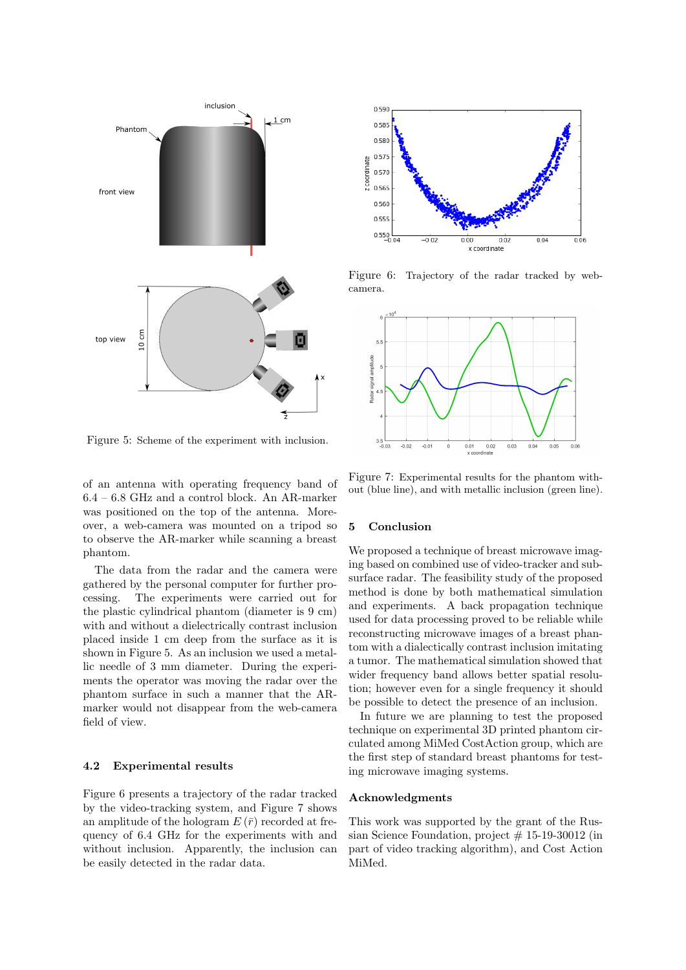

Figure 5: Scheme of the experiment with inclusion.

of an antenna with operating frequency band of 6.4 – 6.8 GHz and a control block. An AR-marker was positioned on the top of the antenna. Moreover, a web-camera was mounted on a tripod so to observe the AR-marker while scanning a breast phantom.

The data from the radar and the camera were gathered by the personal computer for further processing. The experiments were carried out for the plastic cylindrical phantom (diameter is 9 cm) with and without a dielectrically contrast inclusion placed inside 1 cm deep from the surface as it is shown in Figure 5. As an inclusion we used a metallic needle of 3 mm diameter. During the experiments the operator was moving the radar over the phantom surface in such a manner that the ARmarker would not disappear from the web-camera field of view.

## 4.2 Experimental results

Figure 6 presents a trajectory of the radar tracked by the video-tracking system, and Figure 7 shows an amplitude of the hologram  $E(\bar{r})$  recorded at frequency of 6.4 GHz for the experiments with and without inclusion. Apparently, the inclusion can be easily detected in the radar data.



Figure 6: Trajectory of the radar tracked by webcamera.



Figure 7: Experimental results for the phantom without (blue line), and with metallic inclusion (green line).

#### 5 Conclusion

We proposed a technique of breast microwave imaging based on combined use of video-tracker and subsurface radar. The feasibility study of the proposed method is done by both mathematical simulation and experiments. A back propagation technique used for data processing proved to be reliable while reconstructing microwave images of a breast phantom with a dialectically contrast inclusion imitating a tumor. The mathematical simulation showed that wider frequency band allows better spatial resolution; however even for a single frequency it should be possible to detect the presence of an inclusion.

In future we are planning to test the proposed technique on experimental 3D printed phantom circulated among MiMed CostAction group, which are the first step of standard breast phantoms for testing microwave imaging systems.

# Acknowledgments

This work was supported by the grant of the Russian Science Foundation, project  $# 15-19-30012$  (in part of video tracking algorithm), and Cost Action MiMed.